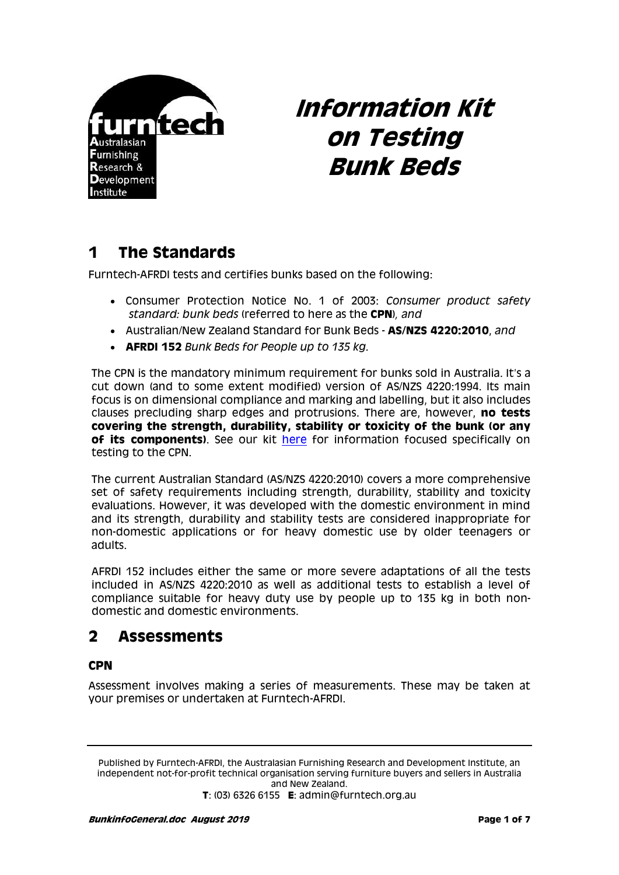

# **Information Kit on Testing Bunk Beds**

# **1 The Standards**

Furntech-AFRDI tests and certifies bunks based on the following:

- Consumer Protection Notice No. 1 of 2003: *Consumer product safety standard: bunk beds* (referred to here as the **CPN**)*, and*
- Australian/New Zealand Standard for Bunk Beds **AS/NZS 4220:2010**, *and*
- **AFRDI 152** *Bunk Beds for People up to 135 kg.*

The CPN is the mandatory minimum requirement for bunks sold in Australia. It's a cut down (and to some extent modified) version of AS/NZS 4220:1994. Its main focus is on dimensional compliance and marking and labelling, but it also includes clauses precluding sharp edges and protrusions. There are, however, **no tests covering the strength, durability, stability or toxicity of the bunk (or any of its components)**. See our kit [here](http://www.furntech.org.au/pdf/ResidentialFurniture/BunkBeds/BunkinfoCPN.pdf) for information focused specifically on testing to the CPN.

The current Australian Standard (AS/NZS 4220:2010) covers a more comprehensive set of safety requirements including strength, durability, stability and toxicity evaluations. However, it was developed with the domestic environment in mind and its strength, durability and stability tests are considered inappropriate for non-domestic applications or for heavy domestic use by older teenagers or adults.

AFRDI 152 includes either the same or more severe adaptations of all the tests included in AS/NZS 4220:2010 as well as additional tests to establish a level of compliance suitable for heavy duty use by people up to 135 kg in both nondomestic and domestic environments.

### **2 Assessments**

#### **CPN**

Assessment involves making a series of measurements. These may be taken at your premises or undertaken at Furntech-AFRDI.

Published by Furntech-AFRDI, the Australasian Furnishing Research and Development Institute, an independent not-for-profit technical organisation serving furniture buyers and sellers in Australia and New Zealand.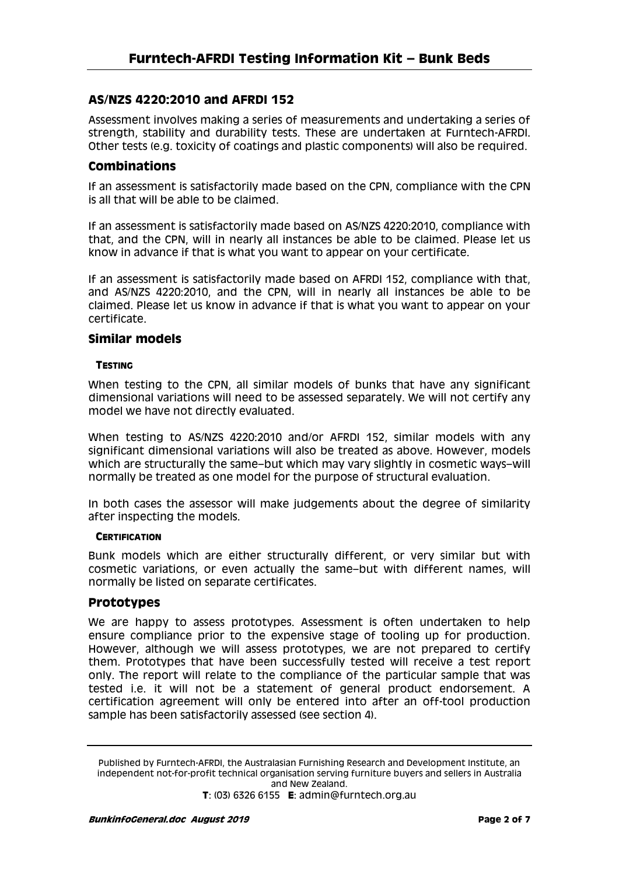#### **AS/NZS 4220:2010 and AFRDI 152**

Assessment involves making a series of measurements and undertaking a series of strength, stability and durability tests. These are undertaken at Furntech-AFRDI. Other tests (e.g. toxicity of coatings and plastic components) will also be required.

#### **Combinations**

If an assessment is satisfactorily made based on the CPN, compliance with the CPN is all that will be able to be claimed.

If an assessment is satisfactorily made based on AS/NZS 4220:2010, compliance with that, and the CPN, will in nearly all instances be able to be claimed. Please let us know in advance if that is what you want to appear on your certificate.

If an assessment is satisfactorily made based on AFRDI 152, compliance with that, and AS/NZS 4220:2010, and the CPN, will in nearly all instances be able to be claimed. Please let us know in advance if that is what you want to appear on your certificate.

#### **Similar models**

#### **TESTING**

When testing to the CPN, all similar models of bunks that have any significant dimensional variations will need to be assessed separately. We will not certify any model we have not directly evaluated.

When testing to AS/NZS 4220:2010 and/or AFRDI 152, similar models with any significant dimensional variations will also be treated as above. However, models which are structurally the same–but which may vary slightly in cosmetic ways–will normally be treated as one model for the purpose of structural evaluation.

In both cases the assessor will make judgements about the degree of similarity after inspecting the models.

#### **CERTIFICATION**

Bunk models which are either structurally different, or very similar but with cosmetic variations, or even actually the same–but with different names, will normally be listed on separate certificates.

#### **Prototypes**

We are happy to assess prototypes. Assessment is often undertaken to help ensure compliance prior to the expensive stage of tooling up for production. However, although we will assess prototypes, we are not prepared to certify them. Prototypes that have been successfully tested will receive a test report only. The report will relate to the compliance of the particular sample that was tested i.e. it will not be a statement of general product endorsement. A certification agreement will only be entered into after an off-tool production sample has been satisfactorily assessed (see section 4).

Published by Furntech-AFRDI, the Australasian Furnishing Research and Development Institute, an independent not-for-profit technical organisation serving furniture buyers and sellers in Australia and New Zealand.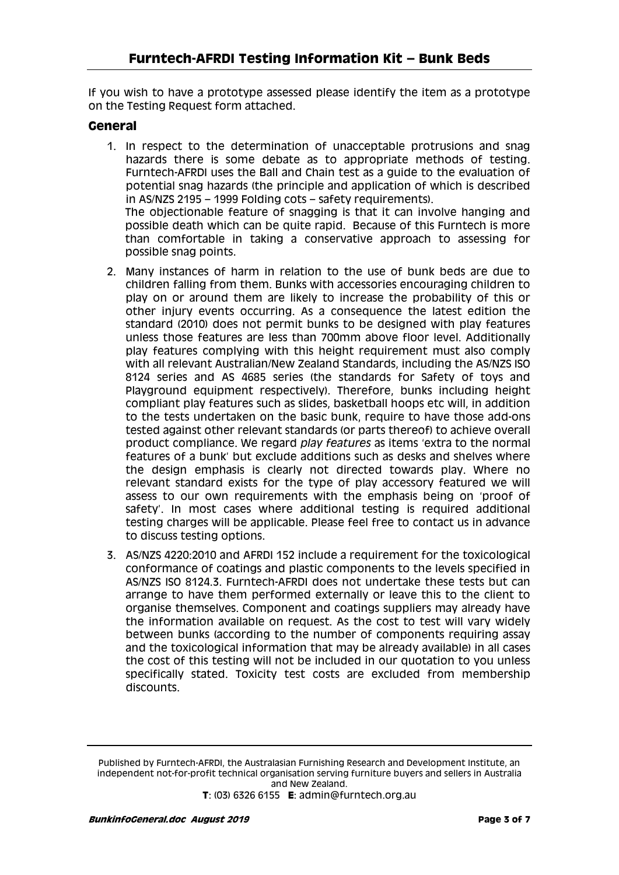If you wish to have a prototype assessed please identify the item as a prototype on the Testing Request form attached.

#### **General**

1. In respect to the determination of unacceptable protrusions and snag hazards there is some debate as to appropriate methods of testing. Furntech-AFRDI uses the Ball and Chain test as a guide to the evaluation of potential snag hazards (the principle and application of which is described in AS/NZS 2195 – 1999 Folding cots – safety requirements). The objectionable feature of snagging is that it can involve hanging and

possible death which can be quite rapid. Because of this Furntech is more than comfortable in taking a conservative approach to assessing for possible snag points.

- 2. Many instances of harm in relation to the use of bunk beds are due to children falling from them. Bunks with accessories encouraging children to play on or around them are likely to increase the probability of this or other injury events occurring. As a consequence the latest edition the standard (2010) does not permit bunks to be designed with play features unless those features are less than 700mm above floor level. Additionally play features complying with this height requirement must also comply with all relevant Australian/New Zealand Standards, including the AS/NZS ISO 8124 series and AS 4685 series (the standards for Safety of toys and Playground equipment respectively). Therefore, bunks including height compliant play features such as slides, basketball hoops etc will, in addition to the tests undertaken on the basic bunk, require to have those add-ons tested against other relevant standards (or parts thereof) to achieve overall product compliance. We regard *play features* as items 'extra to the normal features of a bunk' but exclude additions such as desks and shelves where the design emphasis is clearly not directed towards play. Where no relevant standard exists for the type of play accessory featured we will assess to our own requirements with the emphasis being on 'proof of safety'. In most cases where additional testing is required additional testing charges will be applicable. Please feel free to contact us in advance to discuss testing options.
- 3. AS/NZS 4220:2010 and AFRDI 152 include a requirement for the toxicological conformance of coatings and plastic components to the levels specified in AS/NZS ISO 8124.3. Furntech-AFRDI does not undertake these tests but can arrange to have them performed externally or leave this to the client to organise themselves. Component and coatings suppliers may already have the information available on request. As the cost to test will vary widely between bunks (according to the number of components requiring assay and the toxicological information that may be already available) in all cases the cost of this testing will not be included in our quotation to you unless specifically stated. Toxicity test costs are excluded from membership discounts.

Published by Furntech-AFRDI, the Australasian Furnishing Research and Development Institute, an independent not-for-profit technical organisation serving furniture buyers and sellers in Australia and New Zealand.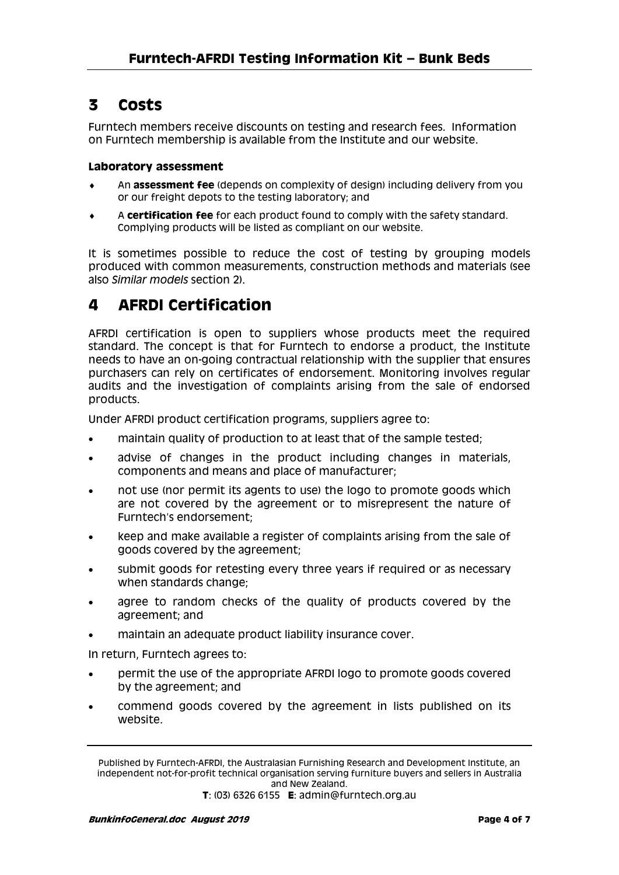### **3 Costs**

Furntech members receive discounts on testing and research fees. Information on Furntech membership is available from the Institute and our website.

#### **Laboratory assessment**

- An **assessment fee** (depends on complexity of design) including delivery from you or our freight depots to the testing laboratory; and
- A **certification fee** for each product found to comply with the safety standard. Complying products will be listed as compliant on our website.

It is sometimes possible to reduce the cost of testing by grouping models produced with common measurements, construction methods and materials (see also *Similar models* section 2).

### **4 AFRDI Certification**

AFRDI certification is open to suppliers whose products meet the required standard. The concept is that for Furntech to endorse a product, the Institute needs to have an on-going contractual relationship with the supplier that ensures purchasers can rely on certificates of endorsement. Monitoring involves regular audits and the investigation of complaints arising from the sale of endorsed products.

Under AFRDI product certification programs, suppliers agree to:

- maintain quality of production to at least that of the sample tested;
- advise of changes in the product including changes in materials, components and means and place of manufacturer;
- not use (nor permit its agents to use) the logo to promote goods which are not covered by the agreement or to misrepresent the nature of Furntech's endorsement;
- keep and make available a register of complaints arising from the sale of goods covered by the agreement;
- submit goods for retesting every three years if required or as necessary when standards change;
- agree to random checks of the quality of products covered by the agreement; and
- maintain an adequate product liability insurance cover.

In return, Furntech agrees to:

- permit the use of the appropriate AFRDI logo to promote goods covered by the agreement; and
- commend goods covered by the agreement in lists published on its website.

Published by Furntech-AFRDI, the Australasian Furnishing Research and Development Institute, an independent not-for-profit technical organisation serving furniture buyers and sellers in Australia and New Zealand.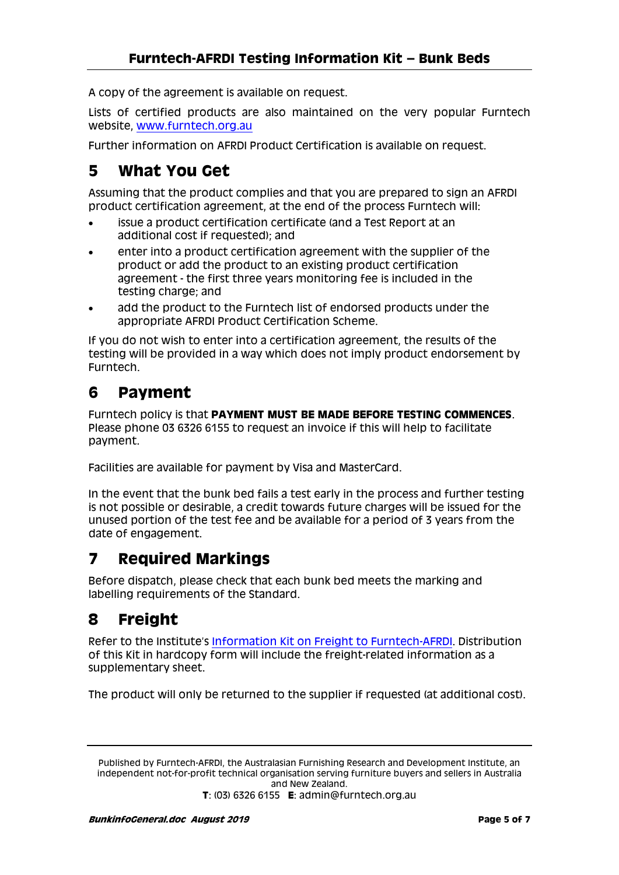A copy of the agreement is available on request.

Lists of certified products are also maintained on the very popular Furntech website, [www.furntech.org.au](http://www.furntech.org.au/)

Further information on AFRDI Product Certification is available on request.

### **5 What You Get**

Assuming that the product complies and that you are prepared to sign an AFRDI product certification agreement, at the end of the process Furntech will:

- issue a product certification certificate (and a Test Report at an additional cost if requested); and
- enter into a product certification agreement with the supplier of the product or add the product to an existing product certification agreement - the first three years monitoring fee is included in the testing charge; and
- add the product to the Furntech list of endorsed products under the appropriate AFRDI Product Certification Scheme.

If you do not wish to enter into a certification agreement, the results of the testing will be provided in a way which does not imply product endorsement by Furntech.

### **6 Payment**

Furntech policy is that **PAYMENT MUST BE MADE BEFORE TESTING COMMENCES**. Please phone 03 6326 6155 to request an invoice if this will help to facilitate payment.

Facilities are available for payment by Visa and MasterCard.

In the event that the bunk bed fails a test early in the process and further testing is not possible or desirable, a credit towards future charges will be issued for the unused portion of the test fee and be available for a period of 3 years from the date of engagement.

### **7 Required Markings**

Before dispatch, please check that each bunk bed meets the marking and labelling requirements of the Standard.

### **8 Freight**

Refer to the Institute's [Information Kit on Freight to Furntech-AFRDI.](http://furntech.org.au/pdf/index.php?dir=Corporate/&file=FreightInfo.pdf) Distribution of this Kit in hardcopy form will include the freight-related information as a supplementary sheet.

The product will only be returned to the supplier if requested (at additional cost).

Published by Furntech-AFRDI, the Australasian Furnishing Research and Development Institute, an independent not-for-profit technical organisation serving furniture buyers and sellers in Australia and New Zealand.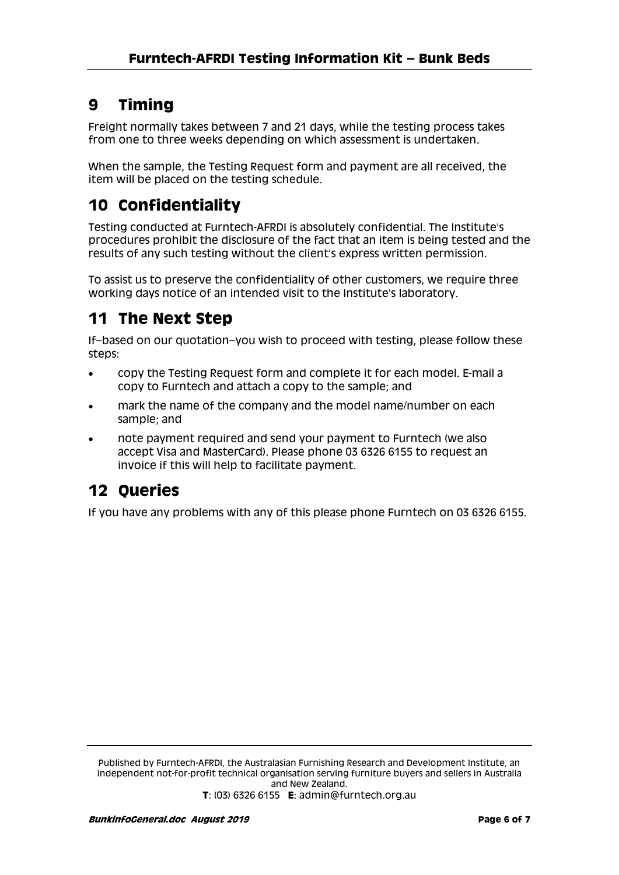# **9 Timing**

Freight normally takes between 7 and 21 days, while the testing process takes from one to three weeks depending on which assessment is undertaken.

When the sample, the Testing Request form and payment are all received, the item will be placed on the testing schedule.

# **10 Confidentiality**

Testing conducted at Furntech-AFRDI is absolutely confidential. The Institute's procedures prohibit the disclosure of the fact that an item is being tested and the results of any such testing without the client's express written permission.

To assist us to preserve the confidentiality of other customers, we require three working days notice of an intended visit to the Institute's laboratory.

## **11 The Next Step**

If–based on our quotation–you wish to proceed with testing, please follow these steps:

- copy the Testing Request form and complete it for each model. E-mail a copy to Furntech and attach a copy to the sample; and
- mark the name of the company and the model name/number on each sample; and
- note payment required and send your payment to Furntech (we also accept Visa and MasterCard). Please phone 03 6326 6155 to request an invoice if this will help to facilitate payment.

## **12 Queries**

If you have any problems with any of this please phone Furntech on 03 6326 6155.

Published by Furntech-AFRDI, the Australasian Furnishing Research and Development Institute, an independent not-for-profit technical organisation serving furniture buyers and sellers in Australia and New Zealand.